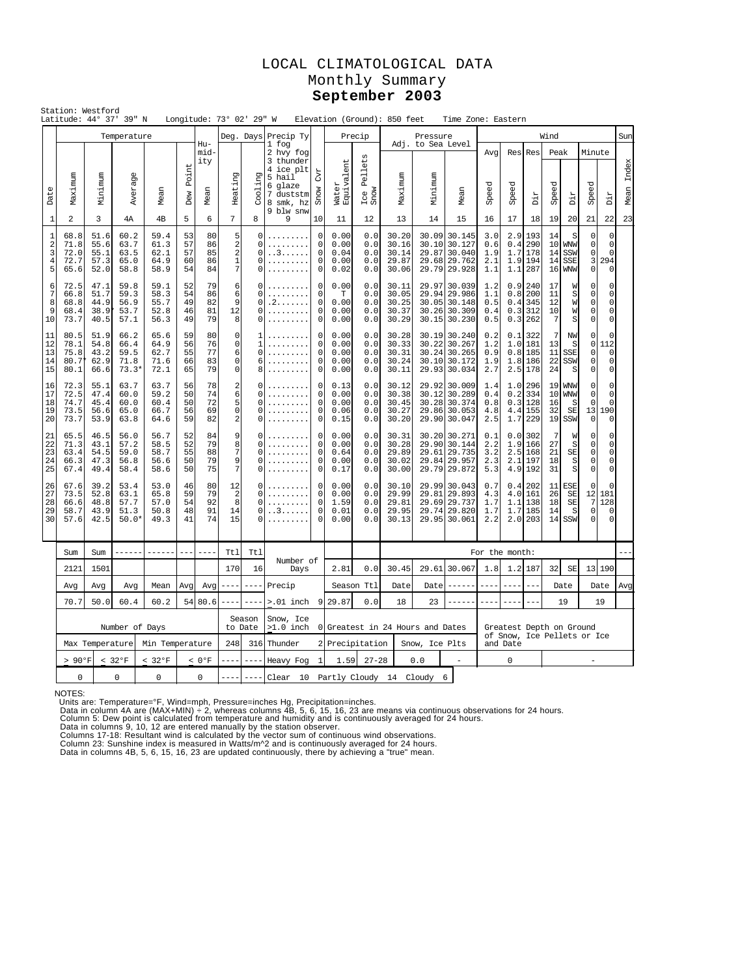# LOCAL CLIMATOLOGICAL DATA Monthly Summary **September 2003**

| Station: Westford<br>Latitude: 44° 37' 39" N<br>Longitude: 73° 02' 29" W<br>Elevation (Ground): 850 feet<br>Time Zone: Eastern<br>Temperature<br>Deg. Days Precip Ty<br>Precip<br>Pressure<br>Wind |                                                 |                                      |                                         |                                      |                            |                            |                                                                           |                                        |                                                                                                          |                                                                                  |                                      |                                 |                                           |                              |                                                                              |                                         |                                 |                                            |                            |                                                    |                                                       |                                                                      |               |
|----------------------------------------------------------------------------------------------------------------------------------------------------------------------------------------------------|-------------------------------------------------|--------------------------------------|-----------------------------------------|--------------------------------------|----------------------------|----------------------------|---------------------------------------------------------------------------|----------------------------------------|----------------------------------------------------------------------------------------------------------|----------------------------------------------------------------------------------|--------------------------------------|---------------------------------|-------------------------------------------|------------------------------|------------------------------------------------------------------------------|-----------------------------------------|---------------------------------|--------------------------------------------|----------------------------|----------------------------------------------------|-------------------------------------------------------|----------------------------------------------------------------------|---------------|
|                                                                                                                                                                                                    |                                                 |                                      |                                         |                                      |                            |                            |                                                                           |                                        |                                                                                                          |                                                                                  |                                      |                                 |                                           |                              |                                                                              |                                         |                                 |                                            |                            |                                                    |                                                       |                                                                      | Sun           |
| Date                                                                                                                                                                                               | Maximum                                         | Minimum                              | Average                                 | Mean                                 | Point<br>Dew               | Hu-<br>mid-<br>ity<br>Mean | Heating                                                                   | Cooling                                | 1 fog<br>2 hvy fog<br>3 thunder<br>4 ice plt<br>5 hail<br>6 glaze<br>7 duststm<br>8 smk, hz<br>9 blw snw | <b>C</b> yr<br>Snow                                                              | ent<br>Water<br>Equivale             | Pellets<br>Ice I<br>Snow        | Maximum                                   | Adj. to Sea Level<br>Minimum | Mean                                                                         | Avq<br>Speed                            | Speed                           | Res Res<br>Dir                             | Peak<br>Speed              | Dir                                                | Minute<br>Speed                                       | Dir                                                                  | Index<br>Mean |
| $\mathbf{1}$                                                                                                                                                                                       | $\overline{a}$                                  | 3                                    | 4А                                      | 4 <sub>B</sub>                       | 5                          | 6                          | $\overline{7}$                                                            | 8                                      | 9                                                                                                        | 10                                                                               | 11                                   | 12                              | 13                                        | 14                           | 15                                                                           | 16                                      | 17                              | 18                                         | 19                         | 20                                                 | 21                                                    | 22                                                                   | 23            |
| 1<br>$\overline{\mathbf{c}}$<br>3<br>$\overline{4}$<br>5                                                                                                                                           | 68.8<br>71.8<br>72.0<br>72.7<br>65.6            | 51.6<br>55.6<br>55.1<br>57.3<br>52.0 | 60.2<br>63.7<br>63.5<br>65.0<br>58.8    | 59.4<br>61.3<br>62.1<br>64.9<br>58.9 | 53<br>57<br>57<br>60<br>54 | 80<br>86<br>85<br>86<br>84 | 5<br>$\sqrt{2}$<br>$\sqrt{2}$<br>$1\,$<br>$\overline{7}$                  | $\Omega$<br>0<br>0<br>$\Omega$<br>0    | . . 3<br>.<br>.                                                                                          | 0<br>$\mathsf 0$<br>0<br>$\mathbf 0$<br>0                                        | 0.00<br>0.00<br>0.04<br>0.00<br>0.02 | 0.0<br>0.0<br>0.0<br>0.0<br>0.0 | 30.20<br>30.16<br>30.14<br>29.87<br>30.06 | 30.09<br>30.10               | 30.145<br>30.127<br>29.87 30.040<br>29.68 29.762<br>29.79 29.928             | 3.0<br>0.6<br>1.9<br>2.1<br>1.1         | 2.9<br>0.4<br>1.7<br>1.9<br>1.1 | 193<br>290<br>178<br>194<br>287            | 14<br>10<br>14<br>14<br>16 | S<br><b>WNW</b><br>SSW<br><b>SSE</b><br><b>WNW</b> | 0<br>$\mathsf 0$<br>0<br>3<br>$\mathbf 0$             | $\mathbf 0$<br>$\mathsf 0$<br>$\mathbf 0$<br>294<br>$\mathbf 0$      |               |
| 6<br>7<br>8<br>9<br>10                                                                                                                                                                             | 72.5<br>66.8<br>68.8<br>68.4<br>73.7            | 47.1<br>51.7<br>44.9<br>38.9<br>40.5 | 59.8<br>59.3<br>56.9<br>53.7<br>57.1    | 59.1<br>58.3<br>55.7<br>52.8<br>56.3 | 52<br>54<br>49<br>46<br>49 | 79<br>86<br>82<br>81<br>79 | 6<br>6<br>9<br>12<br>8                                                    | O<br>$\Omega$<br>0<br>0<br>0           | . 2<br>.                                                                                                 | $\Omega$<br>$\circ$<br>$\mathsf 0$<br>0<br>0                                     | 0.00<br>T<br>0.00<br>0.00<br>0.00    | 0.0<br>0.0<br>0.0<br>0.0<br>0.0 | 30.11<br>30.05<br>30.25<br>30.37<br>30.29 |                              | 29.97 30.039<br>29.94 29.986<br>30.05 30.148<br>30.26 30.309<br>30.15 30.230 | 1.2<br>1.1<br>0.5<br>0.4<br>0.5         | 0.9<br>0.8<br>0.4<br>0.3<br>0.3 | 240<br>200<br>345<br>312<br>262            | 17<br>11<br>12<br>10<br>7  | W<br>S<br>W<br>W<br>S                              | $\Omega$<br>$\Omega$<br>$\circ$<br>$\circ$<br>$\circ$ | $\Omega$<br>$\mathbf 0$<br>$\mathbf 0$<br>$\mathbf 0$<br>$\mathbf 0$ |               |
| 11<br>12<br>13<br>14<br>15                                                                                                                                                                         | 80.5<br>78.1<br>75.8<br>80.7<br>80.1            | 51.9<br>54.8<br>43.2<br>62.9<br>66.6 | 66.2<br>66.4<br>59.5<br>71.8<br>$73.3*$ | 65.6<br>64.9<br>62.7<br>71.6<br>72.1 | 59<br>56<br>55<br>66<br>65 | 80<br>76<br>77<br>83<br>79 | $\circ$<br>$\mathsf{O}\xspace$<br>6<br>$\mathbf 0$<br>$\mathsf{O}\xspace$ | 1<br>1<br>$\mathbf 0$<br>6<br>8        |                                                                                                          | 0<br>0<br>0<br>$\circ$<br>$\mathbf 0$                                            | 0.00<br>0.00<br>0.00<br>0.00<br>0.00 | 0.0<br>0.0<br>0.0<br>0.0<br>0.0 | 30.28<br>30.33<br>30.31<br>30.24<br>30.11 | 30.22                        | 30.19 30.240<br>30.267<br>30.24 30.265<br>30.10 30.172<br>29.93 30.034       | 0.2<br>1.2<br>0.9<br>1.9<br>2.7         | 0.1<br>1.0<br>0.8<br>1.8        | 322<br>181<br>185<br>186<br>2.5 178        | 7<br>13<br>11<br>22<br>24  | NW<br>S<br>SSE<br>SSW<br>S                         | $\mathbf 0$<br>0<br>$\circ$<br>$\circ$<br>$\mathbf 0$ | $\mathbf 0$<br>112<br>$\mathbf 0$<br>$\mathbf 0$<br>$\mathbf 0$      |               |
| 16<br>17<br>18<br>19<br>20                                                                                                                                                                         | 72.3<br>72.5<br>74.7<br>73.5<br>73.7            | 55.1<br>47.4<br>45.4<br>56.6<br>53.9 | 63.7<br>60.0<br>60.0<br>65.0<br>63.8    | 63.7<br>59.2<br>60.4<br>66.7<br>64.6 | 56<br>50<br>50<br>56<br>59 | 78<br>74<br>72<br>69<br>82 | $\overline{2}$<br>6<br>5<br>$\mathbf 0$<br>$\overline{a}$                 | C<br>$\Omega$<br>0<br>$\Omega$<br>O    | .                                                                                                        | $\Omega$<br>0.13<br>$\circ$<br>0.00<br>0<br>0.00<br>0<br>0.06<br>$\circ$<br>0.15 |                                      | 0.0<br>0.0<br>0.0<br>0.0<br>0.0 | 30.12<br>30.38<br>30.45<br>30.27<br>30.20 |                              | 29.92 30.009<br>30.12 30.289<br>30.28 30.374<br>29.86 30.053<br>29.90 30.047 | 1.4<br>0.4<br>0.8<br>4.8<br>2.5         | 1.0<br>0.2                      | 296<br>334<br>0.3128<br>4.4 155<br>1.7 229 | 19<br>10<br>16<br>32       | <b>WNW</b><br><b>WNW</b><br>-S<br>SE<br>19 SSW     | 0<br>$\mathbf 0$<br>$\mathsf 0$<br>13<br>$\mathbf 0$  | 0<br>$\circ$<br>$\mathbf 0$<br>190<br>$\mathbf 0$                    |               |
| 21<br>22<br>23<br>24<br>25                                                                                                                                                                         | 65.5<br>71.3<br>63.4<br>66.3<br>67.4            | 46.5<br>43.1<br>54.5<br>47.3<br>49.4 | 56.0<br>57.2<br>59.0<br>56.8<br>58.4    | 56.7<br>58.5<br>58.7<br>56.6<br>58.6 | 52<br>52<br>55<br>50<br>50 | 84<br>79<br>88<br>79<br>75 | 9<br>8<br>$\overline{7}$<br>9<br>7                                        | C<br>$\Omega$<br>$\mathbf 0$<br>0<br>O |                                                                                                          | $\mathbf 0$<br>$\mathbf 0$<br>$\mathsf 0$<br>0<br>$\Omega$                       | 0.00<br>0.00<br>0.64<br>0.00<br>0.17 | 0.0<br>0.0<br>0.0<br>0.0<br>0.0 | 30.31<br>30.28<br>29.89<br>30.02<br>30.00 | 29.90                        | 30.20 30.271<br>30.144<br>29.61 29.735<br>29.84 29.957<br>29.79 29.872       | 0.1<br>2.2<br>3.2<br>2.3<br>5.3         | 0.0<br>1.9<br>2.5<br>2.1        | 302<br>166<br>168<br>197<br>4.9 192        | -7<br>27<br>21<br>18<br>31 | W<br>S<br>SE<br>S<br>S                             | $\Omega$<br>0<br>$\mathsf 0$<br>0<br>$\circ$          | $\mathbf 0$<br>0<br>$\mathsf 0$<br>$\mathsf 0$<br>$\Omega$           |               |
| 26<br>27<br>28<br>29<br>30                                                                                                                                                                         | 67.6<br>73.5<br>66.6<br>58.7<br>57.6            | 39.2<br>52.8<br>48.8<br>43.9<br>42.5 | 53.4<br>63.1<br>57.7<br>51.3<br>$50.0*$ | 53.0<br>65.8<br>57.0<br>50.8<br>49.3 | 46<br>59<br>54<br>48<br>41 | 80<br>79<br>92<br>91<br>74 | 12<br>2<br>8<br>14<br>15                                                  | 0<br>$\Omega$<br>$\Omega$<br>0<br>0    | . . 3                                                                                                    | $\mathbf 0$<br>$\Omega$<br>$\mathbf 0$<br>$\mathbf 0$<br>0                       | 0.00<br>0.00<br>1.59<br>0.01<br>0.00 | 0.0<br>0.0<br>0.0<br>0.0<br>0.0 | 30.10<br>29.99<br>29.81<br>29.95<br>30.13 | 29.81                        | 29.99 30.043<br>29.893<br>29.69 29.737<br>29.74 29.820<br>29.95 30.061       | 0.7<br>4.3<br>1.7<br>1.7<br>2.2         | 0.4<br>4.0<br>1.1<br>1.7        | 202<br>161<br>138<br>185<br>2.0 203        | 11<br>26<br>18<br>14<br>14 | <b>ESE</b><br>SE<br>SE<br>S<br>SSW                 | $\mathbf 0$<br>12<br>7<br>0<br>$\circ$                | 0<br>181<br>128<br>$\mathbf 0$<br>$\mathbf 0$                        |               |
|                                                                                                                                                                                                    | Sum                                             | Sum                                  |                                         |                                      |                            |                            | Ttl                                                                       | Ttl                                    |                                                                                                          |                                                                                  |                                      |                                 |                                           |                              |                                                                              | For the month:                          |                                 |                                            |                            |                                                    |                                                       |                                                                      |               |
|                                                                                                                                                                                                    | 2121                                            | 1501                                 |                                         |                                      |                            |                            | 170                                                                       | 16                                     | Number of<br>Days                                                                                        |                                                                                  | 2.81                                 | 0.0                             | 30.45                                     | 29.61                        | 30.067                                                                       | 1.8                                     |                                 | 1.2 187                                    | 32                         | SE                                                 | 13 190                                                |                                                                      |               |
|                                                                                                                                                                                                    | Avq                                             | Avq<br>Avq<br>Mean<br>Avq            |                                         |                                      |                            | Avq                        |                                                                           |                                        | Precip                                                                                                   |                                                                                  |                                      | Season Ttl                      | Date                                      | Date                         |                                                                              |                                         |                                 |                                            |                            | Date                                               |                                                       | Date                                                                 | Avg           |
|                                                                                                                                                                                                    | 70.7                                            | 50.0<br>60.4<br>60.2<br>54 80.6      |                                         |                                      |                            |                            |                                                                           | $- - - -$                              | $> .01$ inch                                                                                             | 9                                                                                | 29.87                                | 0.0                             | 18                                        | 23                           | ------                                                                       | $---$                                   |                                 |                                            |                            | 19                                                 |                                                       | 19                                                                   |               |
|                                                                                                                                                                                                    |                                                 |                                      | Number of Days                          |                                      |                            |                            |                                                                           | Season<br>to Date                      | Snow, Ice<br>$>1.0$ inch                                                                                 |                                                                                  |                                      |                                 | 0 Greatest in 24 Hours and Dates          |                              |                                                                              |                                         | Greatest Depth on Ground        |                                            |                            |                                                    |                                                       |                                                                      |               |
|                                                                                                                                                                                                    |                                                 | Max Temperature                      |                                         | Min Temperature                      |                            |                            | 248                                                                       | 316                                    | Thunder                                                                                                  | 2                                                                                | Precipitation                        |                                 |                                           | Snow, Ice Plts               |                                                                              | of Snow, Ice Pellets or Ice<br>and Date |                                 |                                            |                            |                                                    |                                                       |                                                                      |               |
|                                                                                                                                                                                                    | $> 90^{\circ}F$<br>< 32°F<br>< 32°F<br>$< 0$ °F |                                      |                                         |                                      |                            |                            | $- - - -$                                                                 | $- - - -$                              | Heavy Fog                                                                                                | 1                                                                                | 1.59                                 | $27 - 28$                       |                                           | 0.0                          | $\overline{a}$                                                               |                                         | 0                               |                                            |                            |                                                    |                                                       |                                                                      |               |
|                                                                                                                                                                                                    | $\Omega$                                        |                                      | $\Omega$                                | $\Omega$                             |                            | $\Omega$                   |                                                                           | $- - -$                                | Clear 10 Partly Cloudy 14 Cloudy                                                                         |                                                                                  |                                      |                                 |                                           |                              | 6                                                                            |                                         |                                 |                                            |                            |                                                    |                                                       |                                                                      |               |

NOTES:

Units are: Temperature=°F, Wind=mph, Pressure=inches Hg, Precipitation=inches.<br>Data in column 4A are (MAX+MIN) ÷ 2, whereas columns 4B, 5, 6, 15, 16, 23 are means via continuous observations for 24 hours.<br>Data in column 5.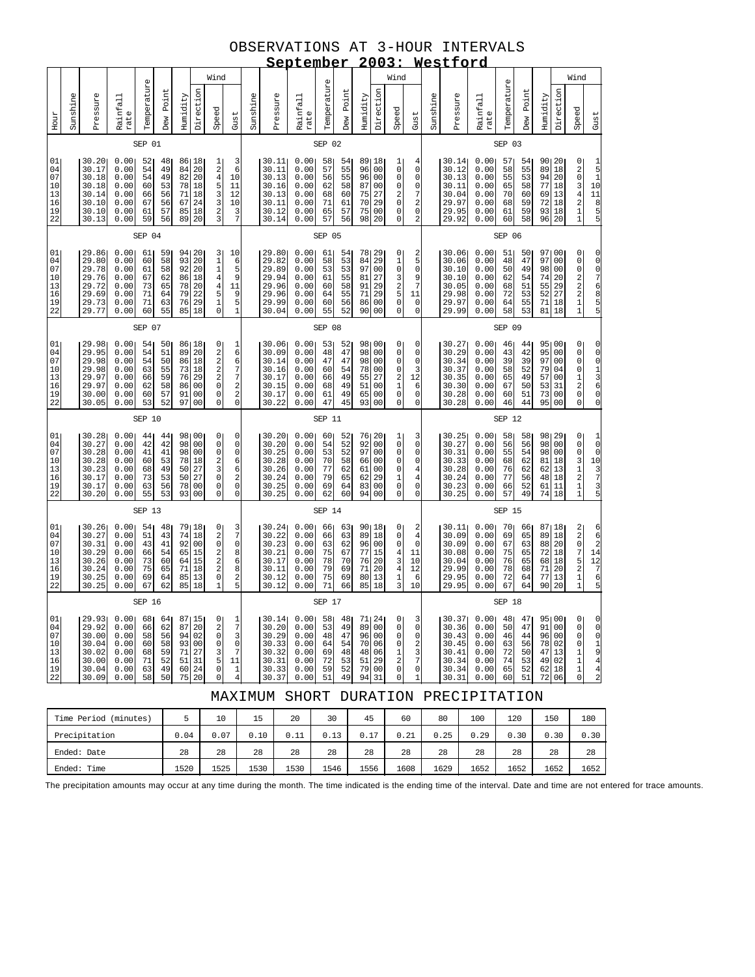# OBSERVATIONS AT 3-HOUR INTERVALS

|                                              |                                                                                                                                                                                                                                                                                                                                                                                                                                                                                                                          |                                                                      |                                                              |                                              |                                              |                                        |                                                                                |                                                                                                                           |                                                                                    |          |                                                                      | <u>September</u>                                              |                                              |                                              |                                                                                        |                                                                       |                                                                                                   |                                                                          |          | 2003: Westford                                                       |                                                               |                                              |                                              |                                                                |                                        |                                                                                                            |                                                                                                    |
|----------------------------------------------|--------------------------------------------------------------------------------------------------------------------------------------------------------------------------------------------------------------------------------------------------------------------------------------------------------------------------------------------------------------------------------------------------------------------------------------------------------------------------------------------------------------------------|----------------------------------------------------------------------|--------------------------------------------------------------|----------------------------------------------|----------------------------------------------|----------------------------------------|--------------------------------------------------------------------------------|---------------------------------------------------------------------------------------------------------------------------|------------------------------------------------------------------------------------|----------|----------------------------------------------------------------------|---------------------------------------------------------------|----------------------------------------------|----------------------------------------------|----------------------------------------------------------------------------------------|-----------------------------------------------------------------------|---------------------------------------------------------------------------------------------------|--------------------------------------------------------------------------|----------|----------------------------------------------------------------------|---------------------------------------------------------------|----------------------------------------------|----------------------------------------------|----------------------------------------------------------------|----------------------------------------|------------------------------------------------------------------------------------------------------------|----------------------------------------------------------------------------------------------------|
|                                              |                                                                                                                                                                                                                                                                                                                                                                                                                                                                                                                          |                                                                      |                                                              |                                              |                                              |                                        |                                                                                | Wind                                                                                                                      |                                                                                    |          |                                                                      |                                                               |                                              |                                              |                                                                                        |                                                                       | Wind                                                                                              |                                                                          |          |                                                                      |                                                               |                                              |                                              |                                                                |                                        | Wind                                                                                                       |                                                                                                    |
| Hour                                         | Sunshine                                                                                                                                                                                                                                                                                                                                                                                                                                                                                                                 | Pressure                                                             | Rainfall<br>rate                                             | Temperature                                  | Point<br>Dew                                 | Humidity                               | Direction                                                                      | Speed                                                                                                                     | Gust                                                                               | Sunshine | Pressure                                                             | Rainfall<br>rate                                              | Temperature                                  | Point<br>Dew                                 | Humidity                                                                               | Direction                                                             | Speed                                                                                             | Gust                                                                     | Sunshine | Pressure                                                             | Rainfall<br>rate                                              | Temperature                                  | Dew Point                                    | Humidity                                                       | Direction                              | Speed                                                                                                      | Gust                                                                                               |
|                                              |                                                                                                                                                                                                                                                                                                                                                                                                                                                                                                                          |                                                                      |                                                              | SEP 01                                       |                                              |                                        |                                                                                |                                                                                                                           |                                                                                    |          |                                                                      |                                                               | SEP 02                                       |                                              |                                                                                        |                                                                       |                                                                                                   |                                                                          |          |                                                                      |                                                               | SEP 03                                       |                                              |                                                                |                                        |                                                                                                            |                                                                                                    |
| 01<br>04<br>07<br>10<br>13<br>16<br>19<br>22 |                                                                                                                                                                                                                                                                                                                                                                                                                                                                                                                          | 30.20<br>30.17<br>30.18<br>30.18<br>30.14<br>30.10<br>30.10<br>30.13 | 0.00<br>0.00<br>0.00<br>0.00<br>0.00<br>0.00<br>0.00<br>0.00 | 52<br>54<br>54<br>60<br>66<br>67<br>61<br>59 | 48<br>49<br>49<br>53<br>56<br>56<br>57<br>56 | 84<br>82<br>78<br>71<br>67<br>85<br>89 | 86 18<br>20<br>20<br>18<br>18<br>24<br>18<br>20                                | ב מ 4 ה מ מ מ מ מ                                                                                                         | $\begin{array}{c} 3 \\ 6 \end{array}$<br>10<br>11<br>12<br>10<br>$\frac{3}{7}$     |          | 30.11<br>30.11<br>30.13<br>30.16<br>30.13<br>30.11<br>30.12<br>30.14 | 0.00<br>0.00<br>0.00<br>0.00<br>0.00<br>0.00<br>0.00<br>0.00  | 58<br>57<br>56<br>62<br>68<br>71<br>65<br>57 | 54<br>55<br>55<br>58<br>60<br>61<br>57<br>56 | 89 18<br>96<br>96<br>87<br>75<br>70<br>75<br>98                                        | 00<br>00<br>00<br>27<br>29<br>00<br>20                                | 1<br>$\mathsf{O}\xspace$<br>$\mathsf 0$<br>$\mathsf 0$<br>$_0^2$<br>0<br>0                        | 4<br>$\mathsf{O}\xspace$<br>0<br>0<br>7<br>2<br>$\mathsf 0$<br>2         |          | 30.14<br>30.12<br>30.13<br>30.11<br>30.04<br>29.97<br>29.95<br>29.92 | 0.00<br>0.00<br>0.00<br>0.00<br>0.00<br>0.00<br>0.00<br>0.00  | 57<br>58<br>55<br>65<br>70<br>68<br>61<br>60 | 54<br>55<br>53<br>58<br>60<br>59<br>59<br>58 | 90 20<br>89<br>94<br>77<br>69<br>72<br>93 18<br>96             | 18<br>20<br>18<br>13<br>18<br>20       | 0 2 0 3 4 2 1 1 1                                                                                          | $\begin{array}{c} 1 \\ 5 \\ 1 \end{array}$<br>10<br>$\begin{array}{c}\n11 \\ 10 \\ 5\n\end{array}$ |
|                                              |                                                                                                                                                                                                                                                                                                                                                                                                                                                                                                                          |                                                                      |                                                              | SEP 04                                       |                                              |                                        |                                                                                |                                                                                                                           |                                                                                    |          |                                                                      |                                                               | SEP 05                                       |                                              |                                                                                        |                                                                       |                                                                                                   |                                                                          |          |                                                                      |                                                               | SEP 06                                       |                                              |                                                                |                                        |                                                                                                            |                                                                                                    |
| 01<br>04<br>07<br>10<br>13<br>16<br>19<br>22 |                                                                                                                                                                                                                                                                                                                                                                                                                                                                                                                          | 29.86<br>29.80<br>29.78<br>29.76<br>29.72<br>29.69<br>29.73<br>29.77 | 0.00<br>0.00<br>0.00<br>0.00<br>0.00<br>0.00<br>0.00<br>0.00 | 61<br>60<br>61<br>67<br>73<br>71<br>71<br>60 | 59<br>58<br>58<br>62<br>65<br>64<br>63<br>55 | 93<br>92<br>86<br>78<br>79<br>76<br>85 | 94 20<br>$\begin{array}{c} 20 \\ 20 \end{array}$<br>18<br>20<br>22<br>29<br>18 | $\begin{smallmatrix} 3\\1\\1 \end{smallmatrix}$<br>$\overline{4}$<br>$\overline{4}$<br>5<br>$\overline{1}$<br>$\mathbf 0$ | 10<br>6<br>5<br>9<br>11<br>9<br>5<br>$\overline{1}$                                |          | 29.80<br>29.82<br>29.89<br>29.94<br>29.96<br>29.96<br>29.99<br>30.04 | 0.00<br>0.00<br>0.00<br>0.00<br>0.00<br>0.00<br>0.00<br>0.00  | 61<br>58<br>53<br>61<br>60<br>64<br>60<br>55 | 54<br>53<br>53<br>55<br>58<br>55<br>56<br>52 | 78 29<br>84<br>97<br>81<br>91<br>71<br>86<br>90                                        | $\begin{array}{c} 29 \\ 00 \end{array}$<br>27<br>29<br>29<br>00<br>00 | 0<br>$\begin{smallmatrix}1\0\end{smallmatrix}$<br>$\frac{3}{2}$<br>5<br>$\mathsf 0$<br>0          | 2<br>5<br>$\mathsf{O}\xspace$<br>9<br>$\overline{7}$<br>11<br>0<br>0     |          | 30.06<br>30.06<br>30.10<br>30.10<br>30.05<br>29.98<br>29.97<br>29.99 | 0.00<br>0.00<br>0.00<br>0.00<br>0.00<br>0.00<br>0.00<br>0.00  | 51<br>48<br>50<br>62<br>68<br>72<br>64<br>58 | 50<br>47<br>49<br>54<br>51<br>53<br>55<br>53 | 97100<br>97<br>98<br>74<br>55<br>52<br>71 18<br>81             | 00<br>00<br>20<br>29<br>27<br>18       | 0<br>0022211                                                                                               | u u w w J O O O                                                                                    |
|                                              | SEP 07                                                                                                                                                                                                                                                                                                                                                                                                                                                                                                                   |                                                                      |                                                              |                                              |                                              |                                        |                                                                                |                                                                                                                           |                                                                                    |          |                                                                      |                                                               | SEP 08                                       |                                              |                                                                                        |                                                                       |                                                                                                   |                                                                          |          |                                                                      |                                                               | SEP 09                                       |                                              |                                                                |                                        |                                                                                                            |                                                                                                    |
| 01<br>04<br>07<br>10<br>13<br>16<br>19<br>22 | 0.00<br>29.98<br>54<br>86 18<br>0<br>50<br>20<br>$\begin{array}{c}\n2 \\ 2 \\ 2\n\end{array}$<br>29.95<br>54<br>51<br>89<br>0.00<br>29.98<br>0.00<br>54<br>50<br>86<br>18<br>29.98<br>0.00<br>55<br>73<br>18<br>63<br>$\boldsymbol{2}$<br>29.97<br>29<br>0.00<br>59<br>76<br>66<br>$\circ$<br>29.97<br>58<br>0 <sub>0</sub><br>0.00<br>62<br>86<br>$\mathsf{O}\xspace$<br>57<br>91<br>00<br>30.00<br>0.00<br>60<br>$\mathbf 0$<br>52<br>97<br>0 <sup>0</sup><br>30.05<br>0.00<br>53                                      |                                                                      |                                                              |                                              |                                              |                                        |                                                                                |                                                                                                                           | 1<br>6<br>6<br>$\overline{7}$<br>$\begin{array}{c}\n7 \\ 2 \\ 2 \\ 0\n\end{array}$ |          | 30.06<br>30.09<br>30.14<br>30.16<br>30.17<br>30.15<br>30.17<br>30.22 | 0.001<br>0.00<br>0.00<br>0.00<br>0.00<br>0.00<br>0.00<br>0.00 | 53<br>48<br>47<br>60<br>66<br>68<br>61<br>47 | 52<br>47<br>47<br>54<br>49<br>49<br>49<br>45 | 98 00<br>98<br>98<br>78<br>55<br>51<br>65<br>93                                        | 00<br>00<br>00<br>27<br>00<br>0 <sub>0</sub><br>0 <sub>0</sub>        | 0<br>$\mathsf 0$<br>$\mathsf 0$<br>0<br>$\begin{array}{c} 2 \\ 1 \\ 0 \end{array}$<br>$\mathbf 0$ | 0<br>0<br>$\mathsf 0$<br>3<br>12<br>6<br>$\mathsf 0$<br>$\circ$          |          | 30.27<br>30.29<br>30.34<br>30.37<br>30.35<br>30.30<br>30.28<br>30.28 | 0.00<br>0.00<br>0.00<br>0.00<br>0.00<br>0.00<br>0.00<br>0.00  | 46<br>43<br>39<br>58<br>65<br>67<br>60<br>46 | 44<br>42<br>39<br>52<br>49<br>50<br>51<br>44 | 95 00<br>95<br>97<br>79<br>57<br>53<br>73<br>95                | 00<br>00<br>04<br>00<br>31<br>00<br>00 | 0<br>$\begin{matrix} 0 \\ 0 \end{matrix}$<br>$\pmb{0}$<br>$\begin{bmatrix} 1 \\ 2 \\ 0 \\ 0 \end{bmatrix}$ | 00013600                                                                                           |
|                                              |                                                                                                                                                                                                                                                                                                                                                                                                                                                                                                                          |                                                                      |                                                              | SEP 10                                       |                                              |                                        |                                                                                |                                                                                                                           |                                                                                    |          |                                                                      |                                                               | SEP 11                                       |                                              |                                                                                        |                                                                       |                                                                                                   |                                                                          |          |                                                                      |                                                               | SEP 12                                       |                                              |                                                                |                                        |                                                                                                            |                                                                                                    |
| 01<br>04<br>07<br>10<br>13<br>16<br>19<br>22 | 30.28<br>0.00<br>98100<br>0<br>44<br>44<br>30.27<br>0.00<br>42<br>42<br>98<br>0 <sub>0</sub><br>$\mathsf 0$<br>$\mathbf 0$<br>30.28<br>41<br>00<br>0.00<br>41<br>98<br>78<br>18<br>$\frac{2}{3}$<br>30.28<br>0.00<br>60<br>53<br>27<br>30.23<br>0.00<br>68<br>49<br>50<br>$\mathsf{O}\xspace$<br>73<br>27<br>30.17<br>53<br>50<br>0.00<br>$\mathbf 0$<br>30.17<br>0.00<br>63<br>56<br>78<br>00<br>30.20<br>55<br>53<br>93<br>00<br>0<br>0.00                                                                             |                                                                      |                                                              |                                              |                                              |                                        |                                                                                |                                                                                                                           | 0<br>0<br>0<br>6<br>6<br>2<br>$\mathbf 0$<br>0                                     |          | 30.20<br>30.20<br>30.25<br>30.28<br>30.26<br>30.24<br>30.25<br>30.25 | 0.00<br>0.00<br>0.00<br>0.00<br>0.00<br>0.00<br>0.00<br>0.00  | 60<br>54<br>53<br>70<br>77<br>79<br>69<br>62 | 52<br>52<br>52<br>58<br>62<br>65<br>64<br>60 | 76 20<br>92<br>97<br>66<br>61<br>62<br>83<br>94                                        | 00<br>00<br>00<br>00<br>29<br>00<br>0 <sub>0</sub>                    | 1<br>$\mathsf 0$<br>$\mathsf 0$<br>$\mathsf 0$<br>$\mathsf 0$<br>$\mathbf 1$<br>$\mathsf 0$<br>0  | 3<br>$\mathsf 0$<br>$\mathsf 0$<br>$\mathsf 0$<br>4<br>$\bf 4$<br>0<br>0 |          | 30.25<br>30.27<br>30.31<br>30.33<br>30.28<br>30.24<br>30.23<br>30.25 | 0.001<br>0.00<br>0.00<br>0.00<br>0.00<br>0.00<br>0.00<br>0.00 | 58<br>56<br>55<br>68<br>76<br>77<br>66<br>57 | 58<br>56<br>54<br>62<br>62<br>56<br>52<br>49 | 98 29<br>98<br>98<br>81<br>62 13<br>48 18<br>61<br>74 18       | 00<br>00<br>18<br>11                   | 0<br>0031211                                                                                               | $\begin{matrix} 1 \\ 0 \\ 0 \end{matrix}$<br>$10$<br>$\begin{array}{c}\n3 \\ 7 \\ 5\n\end{array}$  |
|                                              |                                                                                                                                                                                                                                                                                                                                                                                                                                                                                                                          |                                                                      |                                                              | SEP 13                                       |                                              |                                        |                                                                                |                                                                                                                           |                                                                                    |          |                                                                      |                                                               | SEP 14                                       |                                              |                                                                                        |                                                                       |                                                                                                   |                                                                          |          |                                                                      |                                                               | SEP 15                                       |                                              |                                                                |                                        |                                                                                                            |                                                                                                    |
| 01<br>04<br>07<br>10<br>13<br>16<br>19<br>22 | 0.00<br>79 18<br>74 18<br>30.26<br>0<br>$\frac{3}{7}$<br>54<br>48<br>$\overline{\mathbf{c}}$<br>30.27<br>0.00<br>51<br>43<br>$\mathsf 0$<br>92 00<br>$\mathsf 0$<br>30.31<br>0.00<br>43<br>41<br>$\overline{\mathbf{c}}$<br>30.29<br>0.00<br>54<br>65<br>15<br>8<br>66<br>$\frac{2}{2}$<br>64<br>15<br>6<br>30.26<br>0.00<br>73<br>60<br>8<br>30.24<br>0.00<br>75<br>65<br>71<br>18<br>$\mathsf{O}\xspace$<br>64<br>2<br>30.25<br>0.00<br>69<br>85<br>13<br>5<br>$\overline{1}$<br>62<br>18<br>30.25<br>0.00<br>67<br>85 |                                                                      |                                                              |                                              |                                              |                                        |                                                                                |                                                                                                                           |                                                                                    |          | 30.24<br>30.22<br>30.23<br>30.21<br>30.17<br>30.11<br>30.12<br>30.12 | 0.00<br>0.00<br>0.00<br>0.00<br>0.00<br>0.00<br>0.00<br>0.00  | 66<br>66<br>63<br>75<br>78<br>79<br>75<br>71 | 63<br>63<br>62<br>67<br>70<br>69<br>69<br>66 | $\begin{array}{ c} 90 & 18 \\ 89 & 18 \end{array}$<br>96<br>77<br>76<br>71<br>80<br>85 | 00<br>15<br>20<br>20<br>13<br>18                                      | 0<br>$\mathsf 0$<br>$\mathsf 0$<br>4<br>3<br>$\overline{\mathbf{4}}$<br>$\mathbf 1$<br>3          | 2<br>$\bf 4$<br>$\mathsf 0$<br>11<br>10<br>12<br>6<br>10                 |          | 30.11<br>30.09<br>30.09<br>30.08<br>30.04<br>29.99<br>29.95<br>29.95 | 0.00<br>0.00<br>0.00<br>0.00<br>0.00<br>0.00<br>0.00<br>0.00  | 70<br>69<br>67<br>75<br>76<br>78<br>72<br>67 | 66<br>65<br>63<br>65<br>65<br>68<br>64<br>64 | 87   18<br>89 18<br>88 20<br>72<br>68<br>71<br>77 13<br>90     | 18<br>18<br>20<br>20                   | 22075211                                                                                                   | 6<br>6<br>2<br>1<br>2<br>7<br>6<br>5                                                               |
|                                              | SEP 16                                                                                                                                                                                                                                                                                                                                                                                                                                                                                                                   |                                                                      |                                                              |                                              |                                              |                                        |                                                                                |                                                                                                                           |                                                                                    |          |                                                                      |                                                               | SEP 17                                       |                                              |                                                                                        |                                                                       |                                                                                                   |                                                                          |          |                                                                      |                                                               | SEP 18                                       |                                              |                                                                |                                        |                                                                                                            |                                                                                                    |
| 01<br>04<br>07<br>10<br>13<br>16<br>19<br>22 | 0.00<br>29.931<br>68<br>64<br>87 15<br>0<br>29.92<br>0.00<br>20<br>$\boldsymbol{2}$<br>66<br>62<br>87<br>$\mathbf 0$<br>30.00<br>0.00<br>58<br>56<br>94<br>02<br>30.04<br>93 00<br>$\mathsf 0$<br>0.00<br>60<br>58<br>27<br>3<br>30.02<br>0.00<br>68<br>59<br>71<br>5<br>30.00<br>0.00<br>71<br>52<br>51<br>31<br>$\mathbf 0$<br>30.04<br>0.00<br>49<br>60 24<br>63<br>50<br>75 20<br>$\mathbf 0$<br>30.09<br>0.00<br>58                                                                                                 |                                                                      |                                                              |                                              |                                              |                                        |                                                                                |                                                                                                                           | 1<br>$\boldsymbol{7}$<br>3<br>0<br>7<br>11<br>1                                    |          | 30.14<br>30.20<br>30.29<br>30.33<br>30.32<br>30.31<br>30.33<br>30.37 | 0.00<br>0.00<br>0.00<br>0.00<br>0.00<br>0.00<br>0.00<br>0.00  | 58<br>53<br>48<br>64<br>69<br>72<br>59<br>51 | 48<br>49<br>47<br>54<br>48<br>53<br>52<br>49 | 71 24<br>89<br>96<br>70<br>48<br>51<br>79<br>94                                        | 00<br>00<br>06<br>06<br>29<br>00<br>31                                | 0<br>$\mathsf 0$<br>$\mathsf 0$<br>$\mathsf 0$<br>$\mathbf 1$<br>2<br>$\mathsf{O}\xspace$<br>0    | 3<br>0<br>0<br>2<br>3<br>7<br>0<br>1                                     |          | 30.37<br>30.36<br>30.43<br>30.45<br>30.41<br>30.34<br>30.34<br>30.31 | 0.00<br>0.00<br>0.00<br>0.00<br>0.00<br>0.00<br>0.00<br>0.00  | 48<br>50<br>46<br>63<br>72<br>74<br>65<br>60 | 47<br>47<br>44<br>56<br>50<br>53<br>52<br>51 | 95 00<br>91<br>96 00<br>78 02<br>47 13<br>49 02<br>62 18<br>72 | 00<br>06                               | 0<br>0<br>$\mathsf{O}\xspace$<br>0<br>$\begin{array}{c} 1 \\ 1 \end{array}$<br>$\mathbf{1}$<br>0           | 0<br>$\mathsf{O}\xspace$<br>$\mathsf{O}\xspace$<br>1944                                            |
|                                              | MAXIMUM SHORT<br>DURATION PRECIPITATION                                                                                                                                                                                                                                                                                                                                                                                                                                                                                  |                                                                      |                                                              |                                              |                                              |                                        |                                                                                |                                                                                                                           |                                                                                    |          |                                                                      |                                                               |                                              |                                              |                                                                                        |                                                                       |                                                                                                   |                                                                          |          |                                                                      |                                                               |                                              |                                              |                                                                |                                        |                                                                                                            |                                                                                                    |

| Time Period<br>(minutes) |      | 10   | 15   | 20   | 30   | 45   | 60   | 80   | 100  | 120  | 150  | 180  |
|--------------------------|------|------|------|------|------|------|------|------|------|------|------|------|
| Precipitation            | 0.04 | 0.07 | 0.10 | 0.11 | 0.13 | 0.17 | 0.21 | 0.25 | 0.29 | 0.30 | 0.30 | 0.30 |
| Ended: Date              | 28   | 28   | 28   | 28   | 28   | 28   | 28   | 28   | 28   | 28   | 28   | 28   |
| Ended: Time              | 1520 | 1525 | 1530 | 1530 | 1546 | 1556 | 1608 | 1629 | 1652 | 1652 | 1652 | 1652 |

The precipitation amounts may occur at any time during the month. The time indicated is the ending time of the interval. Date and time are not entered for trace amounts.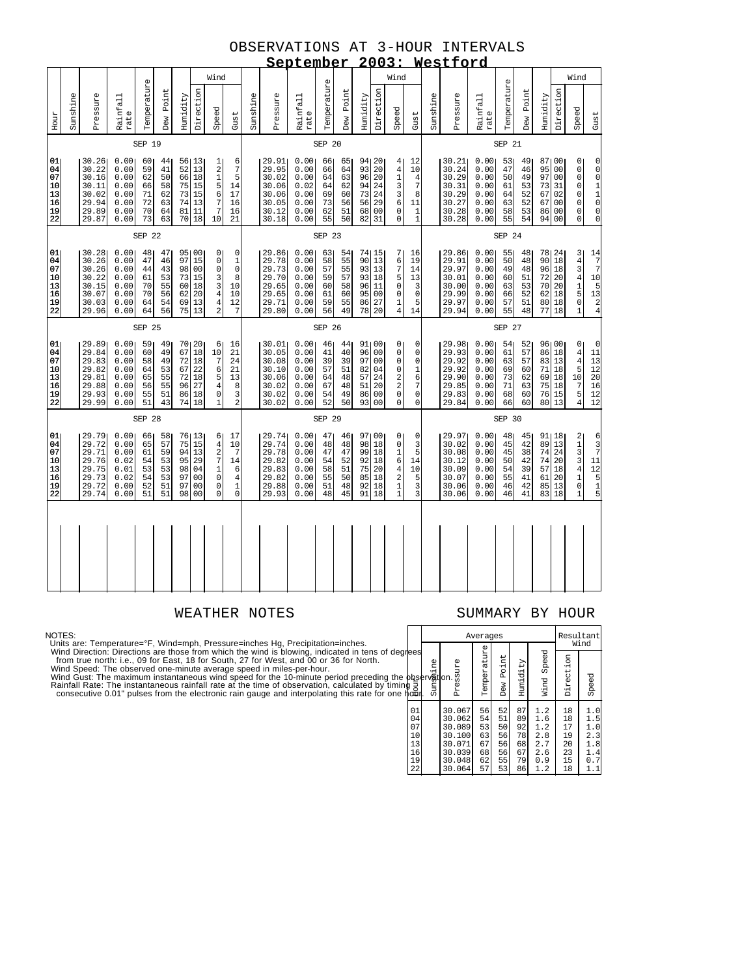#### OBSERVATIONS AT 3-HOUR INTERVALS **September 2003: Westford**

|                                              |          |                                                                      |                                                               |                                              |                                              |                             |                                                                      |                                                                                                   |                                                                              |          |                                                                      | <u>september</u>                                             |                                              |                                              | 4                                                  |                                                                            |                                                                                                          |                                                     |          | <u>Westioro</u>                                                      |                                                               |                                              |                                              |                                                                          |                            |                                                                                                                                         |                                                                                             |
|----------------------------------------------|----------|----------------------------------------------------------------------|---------------------------------------------------------------|----------------------------------------------|----------------------------------------------|-----------------------------|----------------------------------------------------------------------|---------------------------------------------------------------------------------------------------|------------------------------------------------------------------------------|----------|----------------------------------------------------------------------|--------------------------------------------------------------|----------------------------------------------|----------------------------------------------|----------------------------------------------------|----------------------------------------------------------------------------|----------------------------------------------------------------------------------------------------------|-----------------------------------------------------|----------|----------------------------------------------------------------------|---------------------------------------------------------------|----------------------------------------------|----------------------------------------------|--------------------------------------------------------------------------|----------------------------|-----------------------------------------------------------------------------------------------------------------------------------------|---------------------------------------------------------------------------------------------|
|                                              |          | Wind                                                                 |                                                               |                                              |                                              |                             |                                                                      |                                                                                                   |                                                                              |          |                                                                      |                                                              |                                              |                                              |                                                    |                                                                            | Wind                                                                                                     |                                                     |          |                                                                      |                                                               |                                              |                                              |                                                                          |                            | Wind                                                                                                                                    |                                                                                             |
| Hour                                         | Sunshine | Pressure                                                             | Rainfall<br>rate                                              | Temperature                                  | Dew Point                                    | Humidity                    | Direction                                                            | Speed                                                                                             | Gust                                                                         | Sunshine | Pressure                                                             | Rainfall<br>rate                                             | Temperature                                  | Dew Point                                    | Humidity                                           | Direction                                                                  | Speed                                                                                                    | Gust                                                | Sunshine | Pressure                                                             | Rainfall<br>rate                                              | Temperature                                  | Dew Point                                    | Humidity                                                                 | Direction                  | Speed                                                                                                                                   | Gust                                                                                        |
|                                              |          |                                                                      |                                                               | SEP 19                                       |                                              |                             |                                                                      |                                                                                                   |                                                                              |          |                                                                      |                                                              | SEP 20                                       |                                              |                                                    |                                                                            |                                                                                                          |                                                     |          |                                                                      |                                                               | SEP 21                                       |                                              |                                                                          |                            |                                                                                                                                         |                                                                                             |
| 01<br>04<br>07<br>10<br>13<br>16<br>19<br>22 |          | 30.26<br>30.22<br>30.16<br>30.11<br>30.02<br>29.94<br>29.89<br>29.87 | 0.00<br>0.00<br>0.00<br>0.00<br>0.00<br>0.00<br>0.00<br>0.00  | 60<br>59<br>62<br>66<br>71<br>72<br>70<br>73 | 44<br>41<br>50<br>58<br>62<br>63<br>64<br>63 | 52<br>81<br>70 <sub>l</sub> | 56 13<br>13<br>66 18<br>75 15<br>73 15<br>74 13<br>11<br>18          | $\begin{array}{c} 1 \\ 2 \\ 1 \end{array}$<br>5<br>6<br>$\boldsymbol{7}$<br>$\overline{7}$<br>10  | 6<br>$\boldsymbol{7}$<br>5<br>14<br>17<br>16<br>16<br>21                     |          | 29.91<br>29.95<br>30.02<br>30.06<br>30.06<br>30.05<br>30.12<br>30.18 | 0.00<br>0.00<br>0.00<br>0.02<br>0.00<br>0.00<br>0.00<br>0.00 | 66<br>66<br>64<br>64<br>69<br>73<br>62<br>55 | 65<br>64<br>63<br>62<br>60<br>56<br>51<br>50 | 94 20<br>93<br>96<br>94<br>73<br>56<br>68<br>82    | 20<br>20<br>24<br>24<br>29<br>00<br>31                                     | 4 <sub>1</sub><br>$\overline{4}$<br>$\mathbf 1$<br>3<br>3<br>6<br>0<br>0                                 | 12<br>10<br>4<br>7<br>8<br>11<br>1<br>$\mathbf{1}$  |          | 30.21<br>30.24<br>30.29<br>30.31<br>30.29<br>30.27<br>30.28<br>30.28 | 0.00<br>0.00<br>0.00<br>0.00<br>0.00<br>0.00<br>0.00<br>0.00  | 53<br>47<br>50<br>61<br>64<br>63<br>58<br>55 | 49<br>46<br>49<br>53<br>52<br>52<br>53<br>54 | 87100<br>95<br>97 00<br>73<br>67<br>67 00<br>86<br>94                    | 00<br>31<br>02<br>00<br>00 | 0<br>$\begin{matrix} 0 \\ 0 \end{matrix}$<br>$\overline{0}$<br>$\mathsf{O}\xspace$<br>$\mathsf{O}\xspace$<br>$\mathsf 0$<br>$\mathbf 0$ | 00011000                                                                                    |
|                                              |          |                                                                      |                                                               | SEP 22                                       |                                              |                             |                                                                      |                                                                                                   |                                                                              |          |                                                                      |                                                              | SEP 23                                       |                                              |                                                    |                                                                            |                                                                                                          |                                                     |          |                                                                      |                                                               | SEP 24                                       |                                              |                                                                          |                            |                                                                                                                                         |                                                                                             |
| 01<br>04<br>07<br>10<br>13<br>16<br>19<br>22 |          | 30.28<br>30.26<br>30.26<br>30.22<br>30.15<br>30.07<br>30.03<br>29.96 | 0.00<br>0.00<br>0.00<br>0.00<br>0.00<br>0.00<br>0.00<br>0.00  | 48<br>47<br>44<br>61<br>70<br>70<br>64<br>64 | 47<br>46<br>43<br>53<br>55<br>56<br>54<br>56 | 97<br>75                    | 95100<br>15<br>98 00<br>73 15<br>60 18<br>62 20<br>69 13<br>13       | $\circ$<br>$\mathsf 0$<br>$\mathbf 0$<br>3<br>3<br>$\bf 4$<br>$\overline{4}$<br>$\overline{a}$    | 0<br>$1\,$<br>$\mathbf 0$<br>8<br>10<br>10<br>12<br>7                        |          | 29.86<br>29.78<br>29.73<br>29.70<br>29.65<br>29.65<br>29.71<br>29.80 | 0.00<br>0.00<br>0.00<br>0.00<br>0.00<br>0.00<br>0.00<br>0.00 | 63<br>58<br>57<br>59<br>60<br>61<br>59<br>56 | 54<br>55<br>55<br>57<br>58<br>60<br>55<br>49 | 74 15<br>90<br>93 13<br>93<br>96<br>95<br>86<br>78 | 13<br>18<br>11<br>00<br>27<br>20                                           | 7<br>6<br>7<br>5<br>0<br>0<br>1<br>$\overline{4}$                                                        | 16<br>19<br>14<br>13<br>3<br>$\mathsf 0$<br>5<br>14 |          | 29.86<br>29.91<br>29.97<br>30.01<br>30.00<br>29.99<br>29.97<br>29.94 | 0.00<br>0.00<br>0.00<br>0.00<br>0.00<br>0.00<br>0.00<br>0.00  | 55<br>50<br>49<br>60<br>63<br>66<br>57<br>55 | 48<br>48<br>48<br>51<br>53<br>52<br>51<br>48 | 78 24<br>90 <sub>1</sub><br>96 18<br>72<br>70 20<br>62 18<br>80 18<br>77 | 18<br>20<br>18             | 3<br>434150<br>$\overline{1}$                                                                                                           | 14<br>$\frac{7}{7}$<br>10<br>$\begin{array}{c} 5 \\ 13 \\ 2 \\ 4 \end{array}$               |
|                                              |          |                                                                      |                                                               | SEP 25                                       |                                              |                             |                                                                      |                                                                                                   |                                                                              |          |                                                                      |                                                              | SEP 26                                       |                                              |                                                    |                                                                            |                                                                                                          |                                                     |          |                                                                      |                                                               | SEP 27                                       |                                              |                                                                          |                            |                                                                                                                                         |                                                                                             |
| 01<br>04<br>07<br>10<br>13<br>16<br>19<br>22 |          | 29.89<br>29.84<br>29.83<br>29.82<br>29.81<br>29.88<br>29.93<br>29.99 | 0.00<br>0.00<br>0.00<br>0.00<br>0.00<br>0.00<br>0.00<br>0.00  | 59<br>60<br>58<br>64<br>65<br>56<br>55<br>51 | 49<br>49<br>49<br>53<br>55<br>55<br>51<br>43 | 74                          | 70 20<br>67 18<br>72 18<br>72 18<br>72 18<br>96 27<br>86 18<br>18    | 6<br>10<br>$\overline{7}$<br>6<br>5<br>$\overline{4}$<br>$\mathsf 0$<br>$\mathbf{1}$              | 16<br>21<br>24<br>21<br>13<br>8<br>3<br>$\overline{a}$                       |          | 30.01<br>30.05<br>30.08<br>30.10<br>30.06<br>30.02<br>30.02<br>30.02 | 0.00<br>0.00<br>0.00<br>0.00<br>0.00<br>0.00<br>0.00<br>0.00 | 46<br>41<br>39<br>57<br>64<br>67<br>54<br>52 | 44<br>40<br>39<br>51<br>48<br>48<br>49<br>50 | 91 00<br>96<br>97<br>82<br>57<br>51<br>86<br>93    | 0 <sub>0</sub><br>0 <sub>0</sub><br>04<br>24<br>20<br>00<br>0 <sup>0</sup> | 0<br>0<br>0<br>0<br>2<br>$\overline{a}$<br>0<br>0                                                        | 0<br>0<br>0<br>1<br>6<br>7<br>0<br>0                |          | 29.98<br>29.93<br>29.92<br>29.92<br>29.90<br>29.85<br>29.83<br>29.84 | 0.001<br>0.00<br>0.00<br>0.00<br>0.00<br>0.00<br>0.00<br>0.00 | 54<br>61<br>63<br>69<br>73<br>71<br>68<br>66 | 52<br>57<br>57<br>60<br>62<br>63<br>60<br>60 | 96100<br>86<br>83 13<br>71 18<br>69 18<br>75 18<br>76 15<br>80           | 18<br>13                   | 0<br>$\begin{array}{c} 4 \\ 4 \\ 5 \end{array}$<br>10<br>$\overline{7}$<br>5<br>$\overline{4}$                                          | 0<br>$11\,$<br>13<br>$\begin{array}{c} 12 \\ 20 \end{array}$<br>16<br>12<br>$\overline{12}$ |
|                                              |          |                                                                      |                                                               | SEP 28                                       |                                              |                             |                                                                      |                                                                                                   |                                                                              |          |                                                                      |                                                              | SEP 29                                       |                                              |                                                    |                                                                            |                                                                                                          |                                                     |          |                                                                      |                                                               | SEP 30                                       |                                              |                                                                          |                            |                                                                                                                                         |                                                                                             |
| 01<br>04<br>07<br>10<br>13<br>16<br>19<br>22 |          | 29.79<br>29.72<br>29.71<br>29.76<br>29.75<br>29.73<br>29.72<br>29.74 | 0.001<br>0.00<br>0.00<br>0.02<br>0.01<br>0.02<br>0.00<br>0.00 | 66<br>65<br>61<br>54<br>53<br>54<br>52<br>51 | 58<br>57<br>59<br>53<br>53<br>53<br>51<br>51 | 75<br>97<br>97<br>98        | 76 13<br>15<br>94 13<br>95 29<br>98 04<br>0 <sub>0</sub><br>00<br>00 | 6<br>$\overline{4}$<br>$\frac{2}{7}$<br>$\mathbf{1}$<br>$\mathsf 0$<br>$\mathsf 0$<br>$\mathbf 0$ | $17\,$<br>10<br>7<br>14<br>6<br>$\overline{4}$<br>$\mathbf 1$<br>$\mathbf 0$ |          | 29.74<br>29.74<br>29.78<br>29.82<br>29.83<br>29.82<br>29.88<br>29.93 | 0.00<br>0.00<br>0.00<br>0.00<br>0.00<br>0.00<br>0.00<br>0.00 | 47<br>48<br>47<br>54<br>58<br>55<br>51<br>48 | 46<br>48<br>47<br>52<br>51<br>50<br>48<br>45 | 97100<br>98<br>99<br>92 18<br>75<br>85<br>92<br>91 | 18<br>18<br>20<br>18<br>18<br>18                                           | $\overline{0}$<br>0<br>1<br>6<br>$\overline{4}$<br>$\begin{array}{c} 2 \\ 1 \end{array}$<br>$\mathbf{1}$ | 0<br>3<br>5<br>14<br>10<br>$\frac{5}{3}$<br>3       |          | 29.97<br>30.02<br>30.08<br>30.12<br>30.09<br>30.07<br>30.06<br>30.06 | 0.00<br>0.00<br>0.00<br>0.00<br>0.00<br>0.00<br>0.00<br>0.00  | 48<br>45<br>45<br>50<br>54<br>55<br>46<br>46 | 45<br>42<br>38<br>42<br>39<br>41<br>42<br>41 | 91 18<br>89 13<br>74<br>74<br>57 18<br>61<br>85 13<br>83                 | 24<br>20<br>20<br>18       | $\begin{array}{c} 2 \\ 1 \\ 3 \\ 3 \\ 4 \end{array}$<br>$\begin{smallmatrix}1\0\end{smallmatrix}$<br>$\overline{1}$                     | 6<br>3<br>7<br>1<br>1<br>2<br>5<br>1<br>5                                                   |
|                                              |          |                                                                      |                                                               |                                              |                                              |                             |                                                                      |                                                                                                   |                                                                              |          |                                                                      |                                                              |                                              |                                              |                                                    |                                                                            |                                                                                                          |                                                     |          |                                                                      |                                                               |                                              |                                              |                                                                          |                            |                                                                                                                                         |                                                                                             |

### WEATHER NOTES SUMMARY BY HOUR

NOTES:<br>Units are: Temperature=°F, Wind=mph, Pressure=inches Hg, Precipitation=inches.<br>Units are: Temperature=°F, Wind=mph, Pressure=inches Hg, Precipitation=inches.<br>from true north: i.e., 09 for East, 18 for South, 27 for

|                                              |                            |                                                                              | Averages                                     |                                              | Resultant<br>Wind                            |                                                      |                                              |                                                      |  |
|----------------------------------------------|----------------------------|------------------------------------------------------------------------------|----------------------------------------------|----------------------------------------------|----------------------------------------------|------------------------------------------------------|----------------------------------------------|------------------------------------------------------|--|
| ees                                          | phservating<br>and the set | Pressure<br>on.                                                              | Temperature                                  | Point<br>Dew                                 | Humidity                                     | Speed<br>Wind                                        | Direction                                    | Speed                                                |  |
| 01<br>04<br>07<br>10<br>13<br>16<br>19<br>22 |                            | 30.067<br>30.062<br>30.089<br>30.100<br>30.071<br>30.039<br>30.048<br>30.064 | 56<br>54<br>53<br>63<br>67<br>68<br>62<br>57 | 52<br>51<br>50<br>56<br>56<br>56<br>55<br>53 | 87<br>89<br>92<br>78<br>68<br>67<br>79<br>86 | 1.2<br>1.6<br>1.2<br>2.8<br>2.7<br>2.6<br>0.9<br>1.2 | 18<br>18<br>17<br>19<br>20<br>23<br>15<br>18 | 1.0<br>1.5<br>1.0<br>2.3<br>1.8<br>1.4<br>0.7<br>1.1 |  |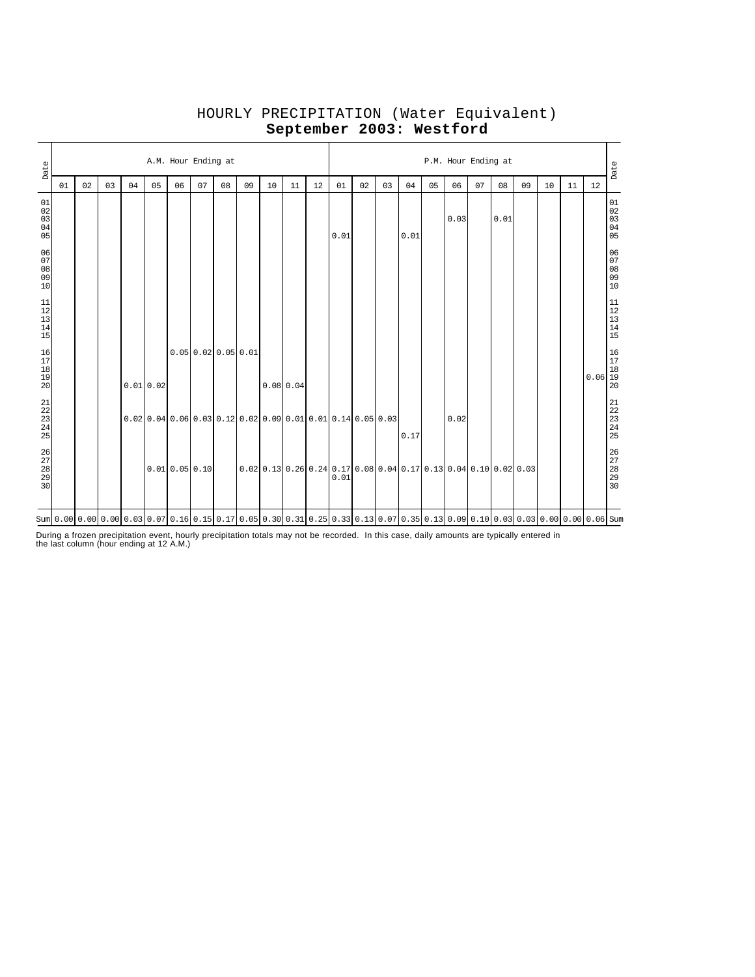| Date                                                                                     | A.M. Hour Ending at |                                                                                                                                           |    |    |          |              |    |                                                               |    |    |           |                                                                                                                      |      |    | P.M. Hour Ending at |      |    |      |    |      |    |    |    |                                                                      |                                                           |  |  |  |
|------------------------------------------------------------------------------------------|---------------------|-------------------------------------------------------------------------------------------------------------------------------------------|----|----|----------|--------------|----|---------------------------------------------------------------|----|----|-----------|----------------------------------------------------------------------------------------------------------------------|------|----|---------------------|------|----|------|----|------|----|----|----|----------------------------------------------------------------------|-----------------------------------------------------------|--|--|--|
|                                                                                          | 01                  | 02                                                                                                                                        | 03 | 04 | 05       | 06           | 07 | 08                                                            | 09 | 10 | 11        | 12                                                                                                                   | 01   | 02 | 03                  | 04   | 05 | 06   | 07 | 08   | 09 | 10 | 11 | 12                                                                   | Date                                                      |  |  |  |
| 01<br>$\begin{array}{c} 02 \\ 03 \end{array}$<br>04<br>05                                |                     |                                                                                                                                           |    |    |          |              |    |                                                               |    |    |           |                                                                                                                      | 0.01 |    |                     | 0.01 |    | 0.03 |    | 0.01 |    |    |    |                                                                      | 01<br>02<br>03<br>04<br>05                                |  |  |  |
| 06<br>07<br>08<br>09<br>10                                                               |                     |                                                                                                                                           |    |    |          |              |    |                                                               |    |    |           |                                                                                                                      |      |    |                     |      |    |      |    |      |    |    |    |                                                                      | 06<br>07<br>08<br>09<br>09<br>10                          |  |  |  |
| $\begin{array}{c} 11 \\ 12 \end{array}$<br>$\begin{array}{c} 13 \\ 14 \end{array}$<br>15 |                     |                                                                                                                                           |    |    |          |              |    |                                                               |    |    |           |                                                                                                                      |      |    |                     |      |    |      |    |      |    |    |    |                                                                      | $\begin{array}{c} 11 \\ 12 \\ 13 \\ 14 \\ 15 \end{array}$ |  |  |  |
| 16<br>$\begin{array}{c} 17 \\ 18 \end{array}$<br>19<br>20                                |                     |                                                                                                                                           |    |    | 0.010.02 |              |    | 0.0500.0200.0500.01                                           |    |    | 0.0800.04 |                                                                                                                      |      |    |                     |      |    |      |    |      |    |    |    | $\begin{array}{c c} & 16 \\ 17 \\ 18 \\ 0.06 & 19 \\ 20 \end{array}$ |                                                           |  |  |  |
| $21$<br>$22$<br>$23$<br>$24$<br>$25$                                                     |                     |                                                                                                                                           |    |    |          |              |    | $0.02$ 0.04 0.06 0.03 0.12 0.02 0.09 0.01 0.01 0.14 0.05 0.03 |    |    |           |                                                                                                                      |      |    |                     | 0.17 |    | 0.02 |    |      |    |    |    |                                                                      | $21$<br>$22$<br>$23$<br>$24$<br>$25$                      |  |  |  |
| 26<br>27<br>28<br>29<br>29<br>30                                                         |                     |                                                                                                                                           |    |    |          | 0.010.050.10 |    |                                                               |    |    |           | $[0.02]$ $[0.13]$ $[0.26]$ $[0.24]$ $[0.17]$ $[0.08]$ $[0.04]$ $[0.17]$ $[0.13]$ $[0.04]$ $[0.10]$ $[0.02]$ $[0.03]$ | 0.01 |    |                     |      |    |      |    |      |    |    |    |                                                                      | 26<br>27<br>28<br>29<br>30                                |  |  |  |
|                                                                                          |                     | Sum 0.00 0.00 0.00 0.00 0.03 0.07 0.16 0.15 0.17 0.05 0.30 0.31 0.25 0.33 0.13 0.07 0.35 0.13 0.09 0.10 0.03 0.03 0.03 0.00 0.00 0.06 Sum |    |    |          |              |    |                                                               |    |    |           |                                                                                                                      |      |    |                     |      |    |      |    |      |    |    |    |                                                                      |                                                           |  |  |  |

# HOURLY PRECIPITATION (Water Equivalent) **September 2003: Westford**

During a frozen precipitation event, hourly precipitation totals may not be recorded. In this case, daily amounts are typically entered in the last column (hour ending at 12 A.M.)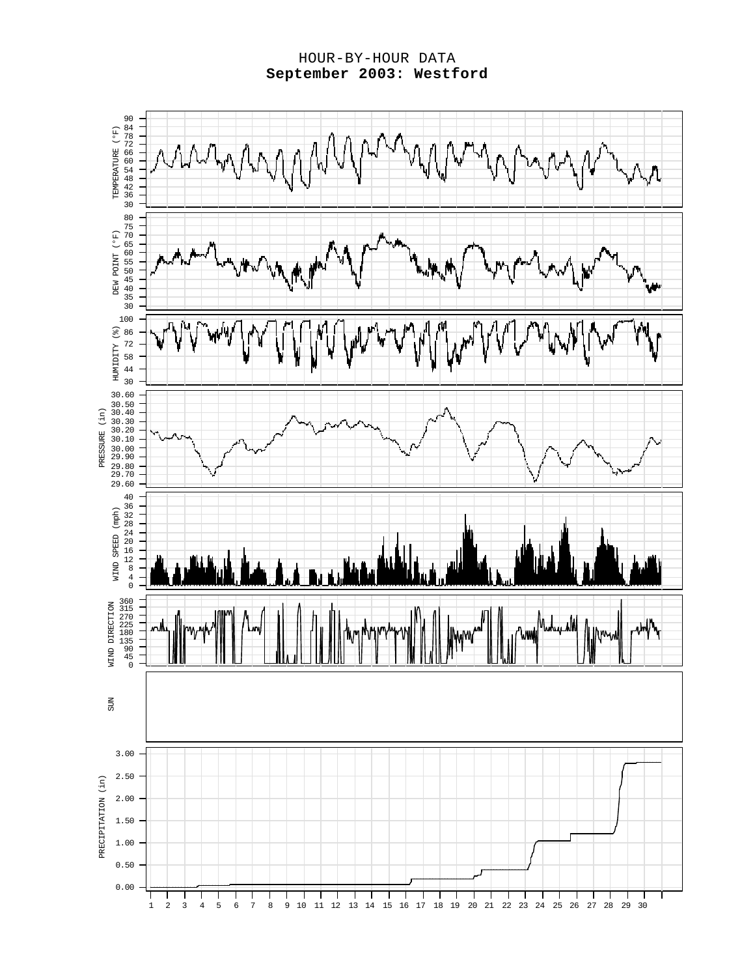#### HOUR-BY-HOUR DATA **September 2003: Westford**